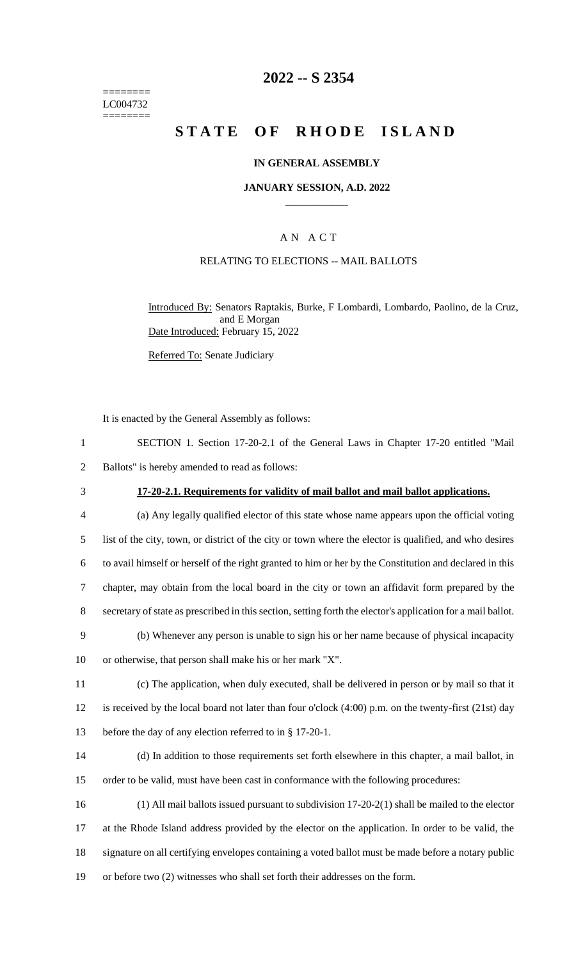======== LC004732 ========

## **2022 -- S 2354**

# **STATE OF RHODE ISLAND**

### **IN GENERAL ASSEMBLY**

### **JANUARY SESSION, A.D. 2022 \_\_\_\_\_\_\_\_\_\_\_\_**

## A N A C T

### RELATING TO ELECTIONS -- MAIL BALLOTS

Introduced By: Senators Raptakis, Burke, F Lombardi, Lombardo, Paolino, de la Cruz, and E Morgan Date Introduced: February 15, 2022

Referred To: Senate Judiciary

It is enacted by the General Assembly as follows:

| SECTION 1. Section 17-20-2.1 of the General Laws in Chapter 17-20 entitled "Mail |  |  |  |  |  |
|----------------------------------------------------------------------------------|--|--|--|--|--|
| Ballots" is hereby amended to read as follows:                                   |  |  |  |  |  |

## 3 **17-20-2.1. Requirements for validity of mail ballot and mail ballot applications.**

 (a) Any legally qualified elector of this state whose name appears upon the official voting list of the city, town, or district of the city or town where the elector is qualified, and who desires to avail himself or herself of the right granted to him or her by the Constitution and declared in this chapter, may obtain from the local board in the city or town an affidavit form prepared by the secretary of state as prescribed in this section, setting forth the elector's application for a mail ballot.

9 (b) Whenever any person is unable to sign his or her name because of physical incapacity 10 or otherwise, that person shall make his or her mark "X".

11 (c) The application, when duly executed, shall be delivered in person or by mail so that it 12 is received by the local board not later than four o'clock (4:00) p.m. on the twenty-first (21st) day 13 before the day of any election referred to in § 17-20-1.

14 (d) In addition to those requirements set forth elsewhere in this chapter, a mail ballot, in 15 order to be valid, must have been cast in conformance with the following procedures:

 (1) All mail ballots issued pursuant to subdivision 17-20-2(1) shall be mailed to the elector at the Rhode Island address provided by the elector on the application. In order to be valid, the signature on all certifying envelopes containing a voted ballot must be made before a notary public or before two (2) witnesses who shall set forth their addresses on the form.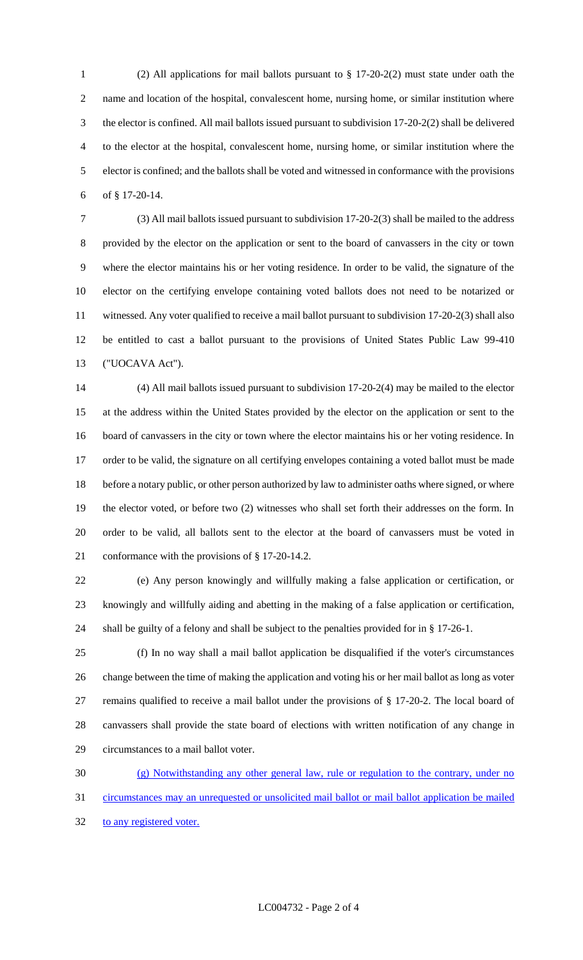(2) All applications for mail ballots pursuant to § 17-20-2(2) must state under oath the name and location of the hospital, convalescent home, nursing home, or similar institution where the elector is confined. All mail ballots issued pursuant to subdivision 17-20-2(2) shall be delivered to the elector at the hospital, convalescent home, nursing home, or similar institution where the elector is confined; and the ballots shall be voted and witnessed in conformance with the provisions of § 17-20-14.

 (3) All mail ballots issued pursuant to subdivision 17-20-2(3) shall be mailed to the address provided by the elector on the application or sent to the board of canvassers in the city or town where the elector maintains his or her voting residence. In order to be valid, the signature of the elector on the certifying envelope containing voted ballots does not need to be notarized or witnessed. Any voter qualified to receive a mail ballot pursuant to subdivision 17-20-2(3) shall also be entitled to cast a ballot pursuant to the provisions of United States Public Law 99-410 ("UOCAVA Act").

 (4) All mail ballots issued pursuant to subdivision 17-20-2(4) may be mailed to the elector at the address within the United States provided by the elector on the application or sent to the board of canvassers in the city or town where the elector maintains his or her voting residence. In order to be valid, the signature on all certifying envelopes containing a voted ballot must be made before a notary public, or other person authorized by law to administer oaths where signed, or where the elector voted, or before two (2) witnesses who shall set forth their addresses on the form. In order to be valid, all ballots sent to the elector at the board of canvassers must be voted in conformance with the provisions of § 17-20-14.2.

 (e) Any person knowingly and willfully making a false application or certification, or knowingly and willfully aiding and abetting in the making of a false application or certification, shall be guilty of a felony and shall be subject to the penalties provided for in § 17-26-1.

 (f) In no way shall a mail ballot application be disqualified if the voter's circumstances change between the time of making the application and voting his or her mail ballot as long as voter remains qualified to receive a mail ballot under the provisions of § 17-20-2. The local board of canvassers shall provide the state board of elections with written notification of any change in circumstances to a mail ballot voter.

 (g) Notwithstanding any other general law, rule or regulation to the contrary, under no circumstances may an unrequested or unsolicited mail ballot or mail ballot application be mailed 32 to any registered voter.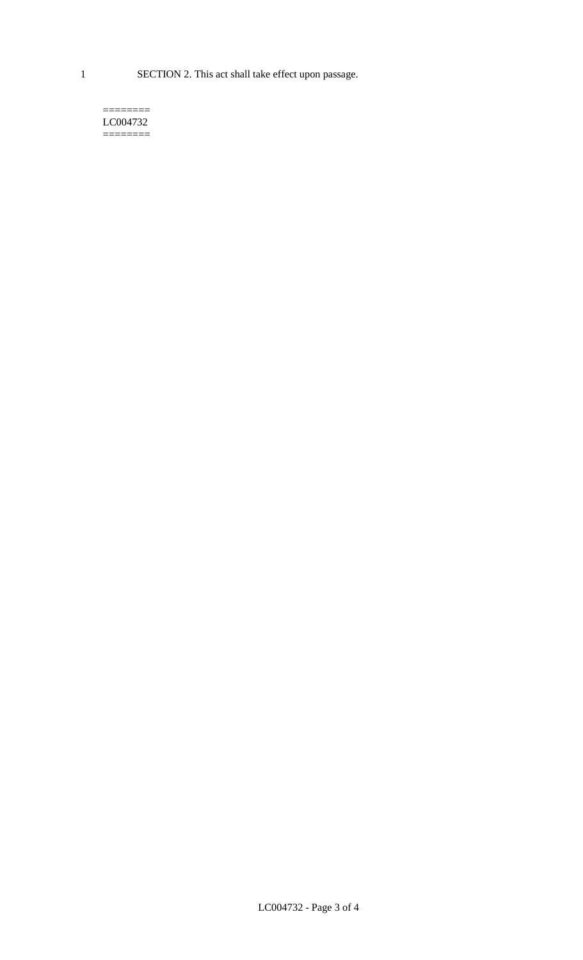1 SECTION 2. This act shall take effect upon passage.

#### $=$ LC004732  $=$